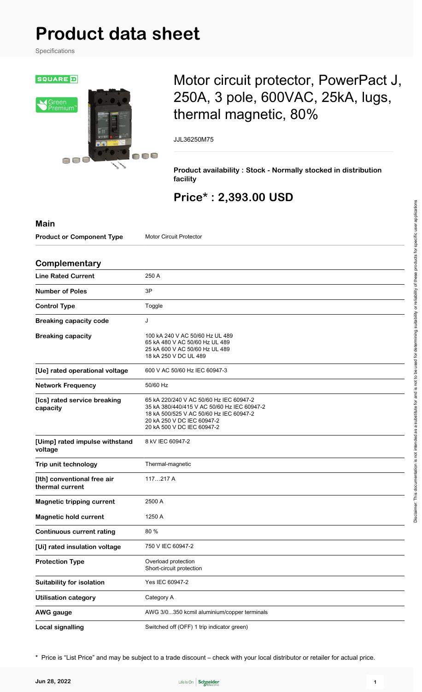# **Product data sheet**

Specifications



## Motor circuit protector, PowerPact J, 250A, 3 pole, 600VAC, 25kA, lugs, thermal magnetic, 80%

JJL36250M75

**Product availability : Stock - Normally stocked in distribution facility**

### **Price\* : 2,393.00 USD**

| <b>Main</b>                                    |                                                                                                                                                                                               |
|------------------------------------------------|-----------------------------------------------------------------------------------------------------------------------------------------------------------------------------------------------|
| <b>Product or Component Type</b>               | <b>Motor Circuit Protector</b>                                                                                                                                                                |
| Complementary                                  |                                                                                                                                                                                               |
| <b>Line Rated Current</b>                      | 250 A                                                                                                                                                                                         |
| <b>Number of Poles</b>                         | 3P                                                                                                                                                                                            |
| <b>Control Type</b>                            | Toggle                                                                                                                                                                                        |
| <b>Breaking capacity code</b>                  | J                                                                                                                                                                                             |
| <b>Breaking capacity</b>                       | 100 kA 240 V AC 50/60 Hz UL 489<br>65 kA 480 V AC 50/60 Hz UL 489<br>25 kA 600 V AC 50/60 Hz UL 489<br>18 kA 250 V DC UL 489                                                                  |
| [Ue] rated operational voltage                 | 600 V AC 50/60 Hz IEC 60947-3                                                                                                                                                                 |
| <b>Network Frequency</b>                       | 50/60 Hz                                                                                                                                                                                      |
| [Ics] rated service breaking<br>capacity       | 65 kA 220/240 V AC 50/60 Hz IEC 60947-2<br>35 kA 380/440/415 V AC 50/60 Hz IEC 60947-2<br>18 kA 500/525 V AC 50/60 Hz IEC 60947-2<br>20 kA 250 V DC IEC 60947-2<br>20 kA 500 V DC IEC 60947-2 |
| [Uimp] rated impulse withstand<br>voltage      | 8 kV IEC 60947-2                                                                                                                                                                              |
| Trip unit technology                           | Thermal-magnetic                                                                                                                                                                              |
| [Ith] conventional free air<br>thermal current | 117217 A                                                                                                                                                                                      |
| <b>Magnetic tripping current</b>               | 2500 A                                                                                                                                                                                        |
| <b>Magnetic hold current</b>                   | 1250 A                                                                                                                                                                                        |
| <b>Continuous current rating</b>               | 80 %                                                                                                                                                                                          |
| [Ui] rated insulation voltage                  | 750 V IEC 60947-2                                                                                                                                                                             |
| <b>Protection Type</b>                         | Overload protection<br>Short-circuit protection                                                                                                                                               |
| <b>Suitability for isolation</b>               | Yes IEC 60947-2                                                                                                                                                                               |
| <b>Utilisation category</b>                    | Category A                                                                                                                                                                                    |
| <b>AWG</b> gauge                               | AWG 3/0350 kcmil aluminium/copper terminals                                                                                                                                                   |
| <b>Local signalling</b>                        | Switched off (OFF) 1 trip indicator green)                                                                                                                                                    |

\* Price is "List Price" and may be subject to a trade discount – check with your local distributor or retailer for actual price.

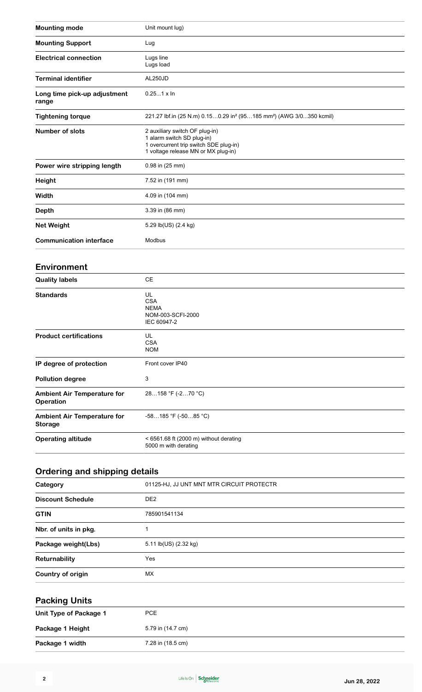| <b>Mounting mode</b>                  | Unit mount lug)                                                                                                                               |
|---------------------------------------|-----------------------------------------------------------------------------------------------------------------------------------------------|
| <b>Mounting Support</b>               | Lug                                                                                                                                           |
| <b>Electrical connection</b>          | Lugs line<br>Lugs load                                                                                                                        |
| <b>Terminal identifier</b>            | AL250JD                                                                                                                                       |
| Long time pick-up adjustment<br>range | $0.251 \times \ln$                                                                                                                            |
| <b>Tightening torque</b>              | 221.27 lbf.in (25 N.m) 0.150.29 in <sup>2</sup> (95185 mm <sup>2</sup> ) (AWG 3/0350 kcmil)                                                   |
| <b>Number of slots</b>                | 2 auxiliary switch OF plug-in)<br>1 alarm switch SD plug-in)<br>1 overcurrent trip switch SDE plug-in)<br>1 voltage release MN or MX plug-in) |
| Power wire stripping length           | 0.98 in (25 mm)                                                                                                                               |
| <b>Height</b>                         | 7.52 in (191 mm)                                                                                                                              |
| Width                                 | 4.09 in (104 mm)                                                                                                                              |
| <b>Depth</b>                          | 3.39 in (86 mm)                                                                                                                               |
| <b>Net Weight</b>                     | 5.29 lb(US) (2.4 kg)                                                                                                                          |
| <b>Communication interface</b>        | Modbus                                                                                                                                        |
| <b>Environment</b>                    |                                                                                                                                               |
| <b>Quality labels</b>                 | CE                                                                                                                                            |
| <b>Standards</b>                      | UL<br><b>CSA</b><br><b>NEMA</b><br>NOM-003-SCFI-2000<br>IEC 60947-2                                                                           |
| <b>Product certifications</b>         | UL<br><b>CSA</b><br><b>NOM</b>                                                                                                                |
| IP degree of protection               | Front cover IP40                                                                                                                              |
| <b>Pollution degree</b>               | 3                                                                                                                                             |
| <b>Ambient Air Temperature for</b>    | 28158 °F (-270 °C)                                                                                                                            |

| <b>Operation</b>                              |                                                                  |  |
|-----------------------------------------------|------------------------------------------------------------------|--|
| <b>Ambient Air Temperature for</b><br>Storage | -58185 °F (-5085 °C)                                             |  |
| <b>Operating altitude</b>                     | $<$ 6561.68 ft (2000 m) without derating<br>5000 m with derating |  |

## **Ordering and shipping details**

| Category                 | 01125-HJ, JJ UNT MNT MTR CIRCUIT PROTECTR |
|--------------------------|-------------------------------------------|
| <b>Discount Schedule</b> | DE <sub>2</sub>                           |
| <b>GTIN</b>              | 785901541134                              |
| Nbr. of units in pkg.    |                                           |
| Package weight(Lbs)      | 5.11 lb(US) (2.32 kg)                     |
| Returnability            | Yes                                       |
| Country of origin        | MX                                        |

## **Packing Units**

| Unit Type of Package 1 | PCE               |
|------------------------|-------------------|
| Package 1 Height       | 5.79 in (14.7 cm) |
| Package 1 width        | 7.28 in (18.5 cm) |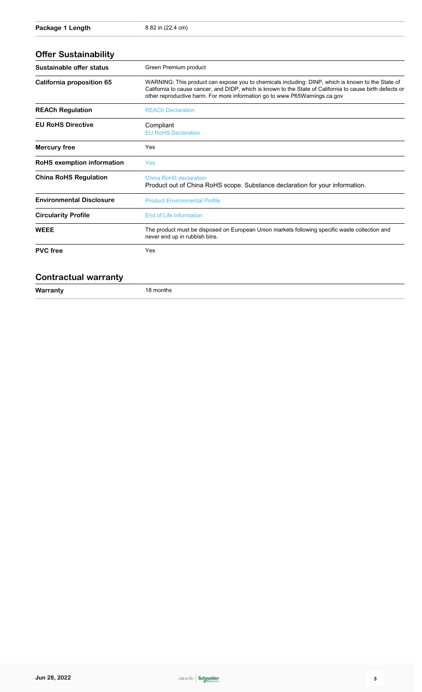| Sustainable offer status        | Green Premium product                                                                                                                                                                                                                                                                        |
|---------------------------------|----------------------------------------------------------------------------------------------------------------------------------------------------------------------------------------------------------------------------------------------------------------------------------------------|
| California proposition 65       | WARNING: This product can expose you to chemicals including: DINP, which is known to the State of<br>California to cause cancer, and DIDP, which is known to the State of California to cause birth defects or<br>other reproductive harm. For more information go to www.P65Warnings.ca.gov |
| <b>REACh Regulation</b>         | <b>REACh Declaration</b>                                                                                                                                                                                                                                                                     |
| <b>EU RoHS Directive</b>        | Compliant<br><b>EU RoHS Declaration</b>                                                                                                                                                                                                                                                      |
| <b>Mercury free</b>             | Yes                                                                                                                                                                                                                                                                                          |
| RoHS exemption information      | Yes                                                                                                                                                                                                                                                                                          |
| <b>China RoHS Regulation</b>    | China RoHS declaration<br>Product out of China RoHS scope. Substance declaration for your information.                                                                                                                                                                                       |
| <b>Environmental Disclosure</b> | <b>Product Environmental Profile</b>                                                                                                                                                                                                                                                         |
| <b>Circularity Profile</b>      | End of Life Information                                                                                                                                                                                                                                                                      |
| <b>WEEE</b>                     | The product must be disposed on European Union markets following specific waste collection and<br>never end up in rubbish bins.                                                                                                                                                              |
| <b>PVC</b> free                 | Yes                                                                                                                                                                                                                                                                                          |

#### **Contractual warranty**

**Warranty** 18 months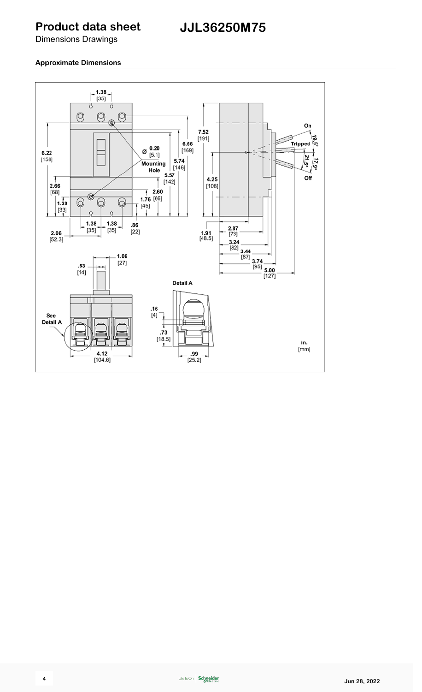#### **Product data sheet**

Dimensions Drawings

#### **Approximate Dimensions**